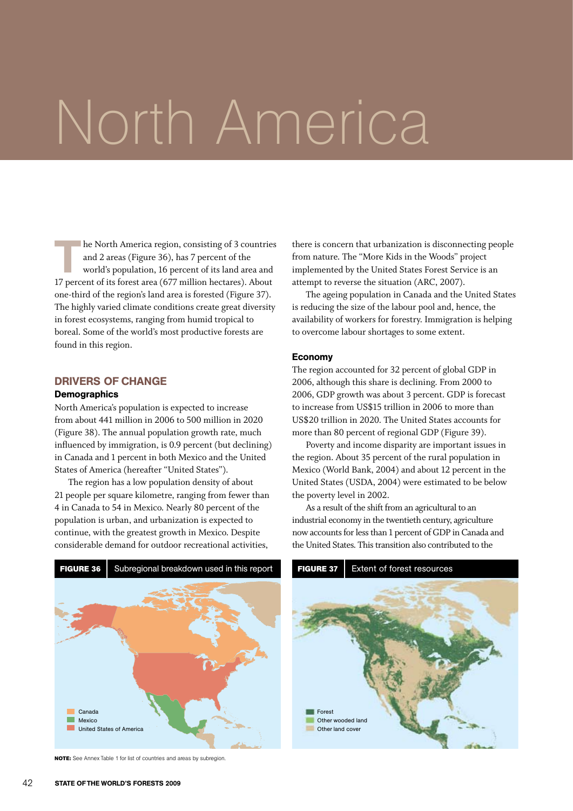# North America

The North America region, consisting of 3 countries<br>and 2 areas (Figure 36), has 7 percent of the<br>world's population, 16 percent of its land area and<br>17 persont of its forest area (677 million bostarse), About and 2 areas (Figure 36), has 7 percent of the 17 percent of its forest area (677 million hectares). About one-third of the region's land area is forested (Figure 37). The highly varied climate conditions create great diversity in forest ecosystems, ranging from humid tropical to boreal. Some of the world's most productive forests are found in this region.

#### Drivers of change

#### **Demographics**

North America's population is expected to increase from about 441 million in 2006 to 500 million in 2020 (Figure 38). The annual population growth rate, much influenced by immigration, is 0.9 percent (but declining) in Canada and 1 percent in both Mexico and the United States of America (hereafter "United States").

The region has a low population density of about 21 people per square kilometre, ranging from fewer than 4 in Canada to 54 in Mexico. Nearly 80 percent of the population is urban, and urbanization is expected to continue, with the greatest growth in Mexico. Despite considerable demand for outdoor recreational activities,

there is concern that urbanization is disconnecting people from nature. The "More Kids in the Woods" project implemented by the United States Forest Service is an attempt to reverse the situation (ARC, 2007).

The ageing population in Canada and the United States is reducing the size of the labour pool and, hence, the availability of workers for forestry. Immigration is helping to overcome labour shortages to some extent.

#### Economy

The region accounted for 32 percent of global GDP in 2006, although this share is declining. From 2000 to 2006, GDP growth was about 3 percent. GDP is forecast to increase from US\$15 trillion in 2006 to more than US\$20 trillion in 2020. The United States accounts for more than 80 percent of regional GDP (Figure 39).

Poverty and income disparity are important issues in the region. About 35 percent of the rural population in Mexico (World Bank, 2004) and about 12 percent in the United States (USDA, 2004) were estimated to be below the poverty level in 2002.

As a result of the shift from an agricultural to an industrial economy in the twentieth century, agriculture now accounts for less than 1 percent of GDP in Canada and the United States. This transition also contributed to the



**Note:** See Annex Table 1 for list of countries and areas by subregion.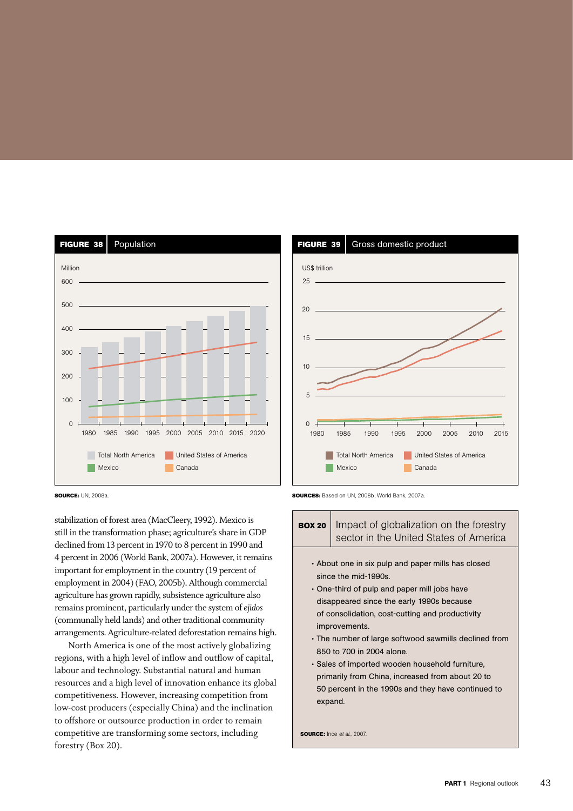

**Source:** UN, 2008a.

stabilization of forest area (MacCleery, 1992). Mexico is still in the transformation phase; agriculture's share in GDP declined from 13 percent in 1970 to 8 percent in 1990 and 4 percent in 2006 (World Bank, 2007a). However, it remains important for employment in the country (19 percent of employment in 2004)(FAO, 2005b). Although commercial agriculture has grown rapidly, subsistence agriculture also remains prominent, particularly under the system of *ejidos* (communally held lands) and other traditional community arrangements. Agriculture-related deforestation remains high.

North America is one of the most actively globalizing regions, with a high level of inflow and outflow of capital, labour and technology. Substantial natural and human resources and a high level of innovation enhance its global competitiveness. However, increasing competition from low-cost producers (especially China) and the inclination to offshore or outsource production in order to remain competitive are transforming some sectors, including forestry (Box 20).





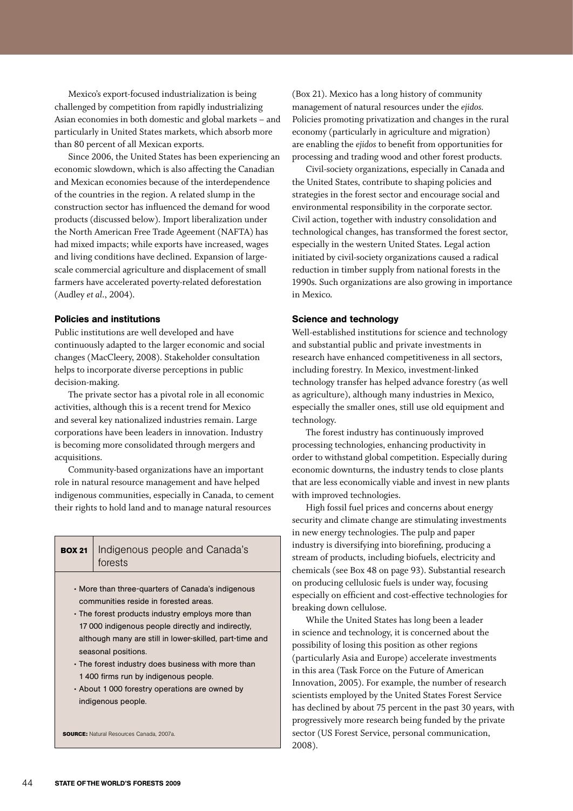Mexico's export-focused industrialization is being challenged by competition from rapidly industrializing Asian economies in both domestic and global markets – and particularly in United States markets, which absorb more than 80 percent of all Mexican exports.

Since 2006, the United States has been experiencing an economic slowdown, which is also affecting the Canadian and Mexican economies because of the interdependence of the countries in the region. A related slump in the construction sector has influenced the demand for wood products (discussed below). Import liberalization under the North American Free Trade Ageement (NAFTA) has had mixed impacts; while exports have increased, wages and living conditions have declined. Expansion of largescale commercial agriculture and displacement of small farmers have accelerated poverty-related deforestation (Audley *et al*., 2004).

#### Policies and institutions

Public institutions are well developed and have continuously adapted to the larger economic and social changes (MacCleery, 2008). Stakeholder consultation helps to incorporate diverse perceptions in public decision-making.

The private sector has a pivotal role in all economic activities, although this is a recent trend for Mexico and several key nationalized industries remain. Large corporations have been leaders in innovation. Industry is becoming more consolidated through mergers and acquisitions.

Community-based organizations have an important role in natural resource management and have helped indigenous communities, especially in Canada, to cement their rights to hold land and to manage natural resources

| <b>BOX 21</b>   Indigenous people and Canada's |
|------------------------------------------------|
| forests                                        |

- • More than three-quarters of Canada's indigenous communities reside in forested areas.
- The forest products industry employs more than 17 000 indigenous people directly and indirectly, although many are still in lower-skilled, part-time and seasonal positions.
- The forest industry does business with more than 1 400 firms run by indigenous people.
- • About 1 000 forestry operations are owned by indigenous people.

**source:** Natural Resources Canada, 2007a.

(Box 21). Mexico has a long history of community management of natural resources under the *ejidos.*  Policies promoting privatization and changes in the rural economy (particularly in agriculture and migration) are enabling the *ejidos* to benefit from opportunities for processing and trading wood and other forest products.

Civil-society organizations, especially in Canada and the United States, contribute to shaping policies and strategies in the forest sector and encourage social and environmental responsibility in the corporate sector. Civil action, together with industry consolidation and technological changes, has transformed the forest sector, especially in the western United States. Legal action initiated by civil-society organizations caused a radical reduction in timber supply from national forests in the 1990s. Such organizations are also growing in importance in Mexico.

#### Science and technology

Well-established institutions for science and technology and substantial public and private investments in research have enhanced competitiveness in all sectors, including forestry. In Mexico, investment-linked technology transfer has helped advance forestry (as well as agriculture), although many industries in Mexico, especially the smaller ones, still use old equipment and technology.

The forest industry has continuously improved processing technologies, enhancing productivity in order to withstand global competition. Especially during economic downturns, the industry tends to close plants that are less economically viable and invest in new plants with improved technologies.

High fossil fuel prices and concerns about energy security and climate change are stimulating investments in new energy technologies. The pulp and paper industry is diversifying into biorefining, producing a stream of products, including biofuels, electricity and chemicals (see Box 48 on page 93). Substantial research on producing cellulosic fuels is under way, focusing especially on efficient and cost-effective technologies for breaking down cellulose.

While the United States has long been a leader in science and technology, it is concerned about the possibility of losing this position as other regions (particularly Asia and Europe) accelerate investments in this area (Task Force on the Future of American Innovation, 2005). For example, the number of research scientists employed by the United States Forest Service has declined by about 75 percent in the past 30 years, with progressively more research being funded by the private sector (US Forest Service, personal communication, 2008).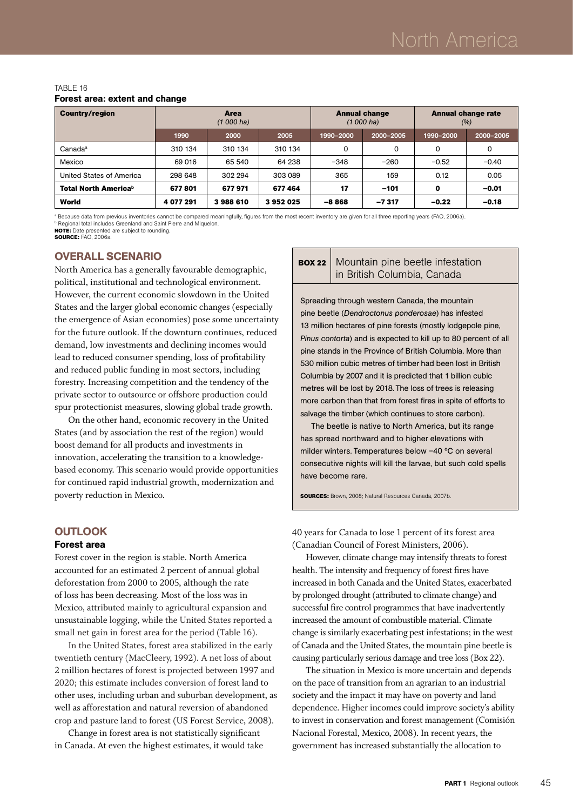#### TABLE 16 Forest area: extent and change

| <b>Country/region</b>                   | Area<br>$(1000)$ ha) |         |         | <b>Annual change</b><br>$(1000)$ ha) |           | <b>Annual change rate</b><br>(%) |           |
|-----------------------------------------|----------------------|---------|---------|--------------------------------------|-----------|----------------------------------|-----------|
|                                         | 1990                 | 2000    | 2005    | 1990-2000                            | 2000-2005 | 1990-2000                        | 2000-2005 |
| Canada <sup>a</sup>                     | 310 134              | 310 134 | 310 134 | 0                                    | 0         | 0                                | 0         |
| Mexico                                  | 69 016               | 65 540  | 64 238  | $-348$                               | $-260$    | $-0.52$                          | $-0.40$   |
| United States of America                | 298 648              | 302 294 | 303 089 | 365                                  | 159       | 0.12                             | 0.05      |
| <b>Total North America</b> <sup>b</sup> | 677801               | 677971  | 677464  | 17                                   | $-101$    | 0                                | $-0.01$   |
| World                                   | 4 077 291            | 3988610 | 3952025 | $-8868$                              | $-7317$   | $-0.22$                          | $-0.18$   |

a Because data from previous inventories cannot be compared meaningfully, figures from the most recent inventory are given for all three reporting years (FAO, 2006a). **b** Regional total includes Greenland and Saint Pierre and Miquelon.

**NOTE:** Date presented are subject to rounding. **source:** FAO, 2006a.

### Overall scenario

North America has a generally favourable demographic, political, institutional and technological environment. However, the current economic slowdown in the United States and the larger global economic changes (especially the emergence of Asian economies) pose some uncertainty for the future outlook. If the downturn continues, reduced demand, low investments and declining incomes would lead to reduced consumer spending, loss of profitability and reduced public funding in most sectors, including forestry. Increasing competition and the tendency of the private sector to outsource or offshore production could spur protectionist measures, slowing global trade growth.

On the other hand, economic recovery in the United States (and by association the rest of the region) would boost demand for all products and investments in innovation, accelerating the transition to a knowledgebased economy. This scenario would provide opportunities for continued rapid industrial growth, modernization and poverty reduction in Mexico.

#### **OUTLOOK**

#### Forest area

Forest cover in the region is stable. North America accounted for an estimated 2 percent of annual global deforestation from 2000 to 2005, although the rate of loss has been decreasing. Most of the loss was in Mexico, attributed mainly to agricultural expansion and unsustainable logging, while the United States reported a small net gain in forest area for the period (Table 16).

In the United States, forest area stabilized in the early twentieth century (MacCleery, 1992). A net loss of about 2 million hectares of forest is projected between 1997 and 2020; this estimate includes conversion of forest land to other uses, including urban and suburban development, as well as afforestation and natural reversion of abandoned crop and pasture land to forest (US Forest Service, 2008).

Change in forest area is not statistically significant in Canada. At even the highest estimates, it would take

#### **BOX 22** Mountain pine beetle infestation in British Columbia, Canada

Spreading through western Canada, the mountain pine beetle (*Dendroctonus ponderosae*) has infested 13 million hectares of pine forests (mostly lodgepole pine, *Pinus contorta*) and is expected to kill up to 80 percent of all pine stands in the Province of British Columbia. More than 530 million cubic metres of timber had been lost in British Columbia by 2007 and it is predicted that 1 billion cubic metres will be lost by 2018. The loss of trees is releasing more carbon than that from forest fires in spite of efforts to salvage the timber (which continues to store carbon).

The beetle is native to North America, but its range has spread northward and to higher elevations with milder winters. Temperatures below –40 ºC on several consecutive nights will kill the larvae, but such cold spells have become rare.

**sources:** Brown, 2008; Natural Resources Canada, 2007b.

40 years for Canada to lose 1 percent of its forest area (Canadian Council of Forest Ministers, 2006).

However, climate change may intensify threats to forest health. The intensity and frequency of forest fires have increased in both Canada and the United States, exacerbated by prolonged drought (attributed to climate change) and successful fire control programmes that have inadvertently increased the amount of combustible material. Climate change is similarly exacerbating pest infestations; in the west of Canada and the United States, the mountain pine beetle is causing particularly serious damage and tree loss (Box 22).

The situation in Mexico is more uncertain and depends on the pace of transition from an agrarian to an industrial society and the impact it may have on poverty and land dependence. Higher incomes could improve society's ability to invest in conservation and forest management (Comisión Nacional Forestal, Mexico, 2008). In recent years, the government has increased substantially the allocation to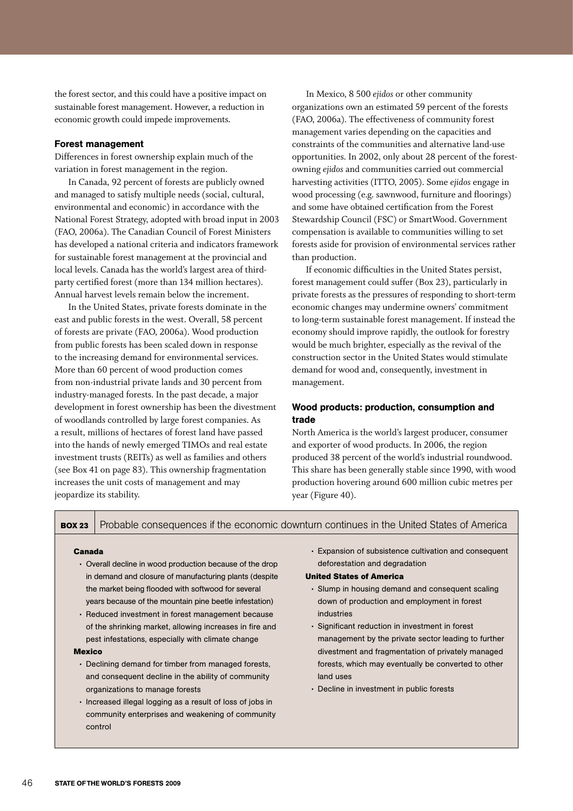the forest sector, and this could have a positive impact on sustainable forest management. However, a reduction in economic growth could impede improvements.

#### Forest management

Differences in forest ownership explain much of the variation in forest management in the region.

In Canada, 92 percent of forests are publicly owned and managed to satisfy multiple needs (social, cultural, environmental and economic) in accordance with the National Forest Strategy, adopted with broad input in 2003 (FAO, 2006a). The Canadian Council of Forest Ministers has developed a national criteria and indicators framework for sustainable forest management at the provincial and local levels. Canada has the world's largest area of thirdparty certified forest (more than 134 million hectares). Annual harvest levels remain below the increment.

In the United States, private forests dominate in the east and public forests in the west. Overall, 58 percent of forests are private (FAO, 2006a). Wood production from public forests has been scaled down in response to the increasing demand for environmental services. More than 60 percent of wood production comes from non-industrial private lands and 30 percent from industry-managed forests. In the past decade, a major development in forest ownership has been the divestment of woodlands controlled by large forest companies. As a result, millions of hectares of forest land have passed into the hands of newly emerged TIMOs and real estate investment trusts (REITs) as well as families and others (see Box 41 on page 83). This ownership fragmentation increases the unit costs of management and may jeopardize its stability.

In Mexico, 8 500 *ejidos* or other community organizations own an estimated 59 percent of the forests (FAO, 2006a). The effectiveness of community forest management varies depending on the capacities and constraints of the communities and alternative land-use opportunities. In 2002, only about 28 percent of the forestowning *ejidos* and communities carried out commercial harvesting activities (ITTO, 2005). Some *ejidos* engage in wood processing (e.g. sawnwood, furniture and floorings) and some have obtained certification from the Forest Stewardship Council (FSC) or SmartWood. Government compensation is available to communities willing to set forests aside for provision of environmental services rather than production.

If economic difficulties in the United States persist, forest management could suffer (Box 23), particularly in private forests as the pressures of responding to short-term economic changes may undermine owners' commitment to long-term sustainable forest management. If instead the economy should improve rapidly, the outlook for forestry would be much brighter, especially as the revival of the construction sector in the United States would stimulate demand for wood and, consequently, investment in management.

#### Wood products: production, consumption and trade

North America is the world's largest producer, consumer and exporter of wood products. In 2006, the region produced 38 percent of the world's industrial roundwood. This share has been generally stable since 1990, with wood production hovering around 600 million cubic metres per year (Figure 40).

**BOX 23** Probable consequences if the economic downturn continues in the United States of America

#### **Canada**

- Overall decline in wood production because of the drop in demand and closure of manufacturing plants (despite the market being flooded with softwood for several years because of the mountain pine beetle infestation)
- Reduced investment in forest management because of the shrinking market, allowing increases in fire and pest infestations, especially with climate change

#### **Mexico**

- Declining demand for timber from managed forests, and consequent decline in the ability of community organizations to manage forests
- Increased illegal logging as a result of loss of jobs in community enterprises and weakening of community control

• Expansion of subsistence cultivation and consequent deforestation and degradation

#### **United States of America**

- Slump in housing demand and consequent scaling down of production and employment in forest industries
- • Significant reduction in investment in forest management by the private sector leading to further divestment and fragmentation of privately managed forests, which may eventually be converted to other land uses
- Decline in investment in public forests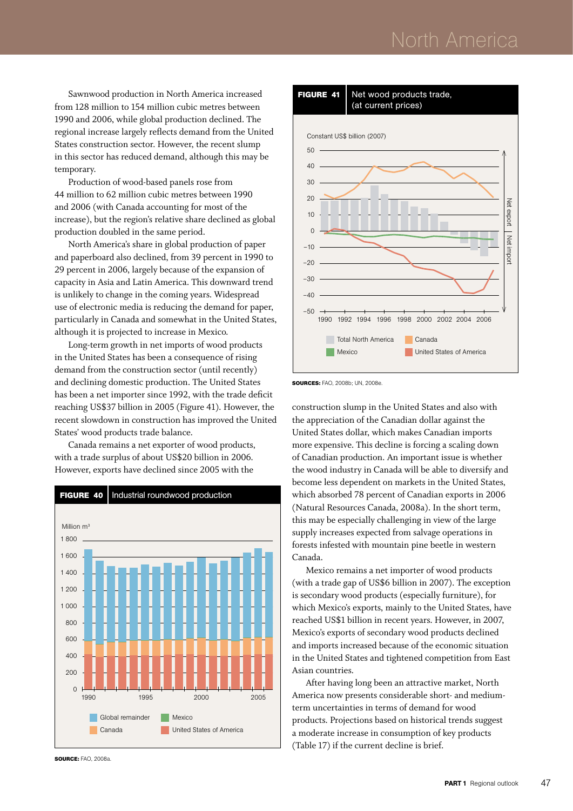## North America

Sawnwood production in North America increased from 128 million to 154 million cubic metres between 1990 and 2006, while global production declined. The regional increase largely reflects demand from the United States construction sector. However, the recent slump in this sector has reduced demand, although this may be temporary.

Production of wood-based panels rose from 44 million to 62 million cubic metres between 1990 and 2006 (with Canada accounting for most of the increase), but the region's relative share declined as global production doubled in the same period.

North America's share in global production of paper and paperboard also declined, from 39 percent in 1990 to 29 percent in 2006, largely because of the expansion of capacity in Asia and Latin America. This downward trend is unlikely to change in the coming years. Widespread use of electronic media is reducing the demand for paper, particularly in Canada and somewhat in the United States, although it is projected to increase in Mexico.

Long-term growth in net imports of wood products in the United States has been a consequence of rising demand from the construction sector (until recently) and declining domestic production. The United States has been a net importer since 1992, with the trade deficit reaching US\$37 billion in 2005 (Figure 41). However, the recent slowdown in construction has improved the United States' wood products trade balance.

Canada remains a net exporter of wood products, with a trade surplus of about US\$20 billion in 2006. However, exports have declined since 2005 with the







**Sources:** FAO, 2008b; UN, 2008e.

construction slump in the United States and also with the appreciation of the Canadian dollar against the United States dollar, which makes Canadian imports more expensive. This decline is forcing a scaling down of Canadian production. An important issue is whether the wood industry in Canada will be able to diversify and become less dependent on markets in the United States, which absorbed 78 percent of Canadian exports in 2006 (Natural Resources Canada, 2008a). In the short term, this may be especially challenging in view of the large supply increases expected from salvage operations in forests infested with mountain pine beetle in western Canada.

Mexico remains a net importer of wood products (with a trade gap of US\$6 billion in 2007). The exception is secondary wood products (especially furniture), for which Mexico's exports, mainly to the United States, have reached US\$1 billion in recent years. However, in 2007, Mexico's exports of secondary wood products declined and imports increased because of the economic situation in the United States and tightened competition from East Asian countries.

After having long been an attractive market, North America now presents considerable short- and mediumterm uncertainties in terms of demand for wood products. Projections based on historical trends suggest a moderate increase in consumption of key products (Table 17) if the current decline is brief.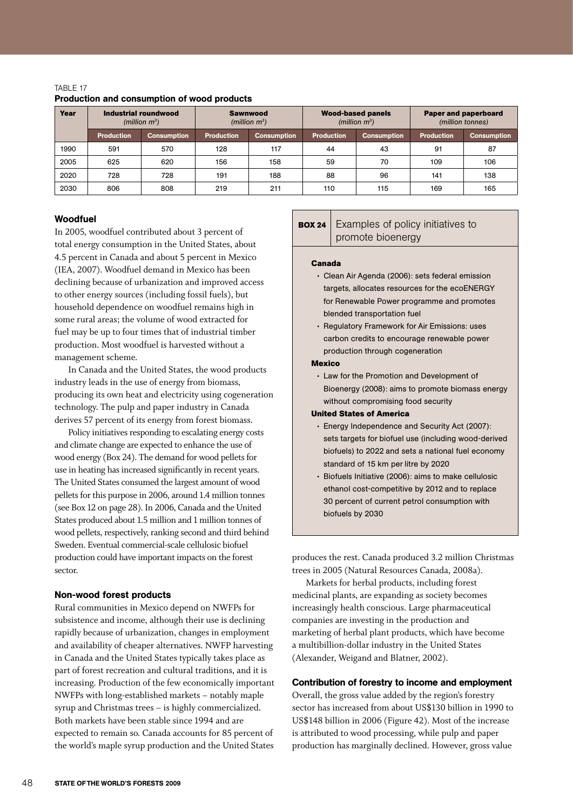| Year | Industrial roundwood<br>(million $m^3$ ) |                    | <b>Sawnwood</b><br>(million $m^3$ ) |             | <b>Wood-based panels</b><br>(million $m^3$ ) |                    | <b>Paper and paperboard</b><br>(million tonnes) |                    |  |
|------|------------------------------------------|--------------------|-------------------------------------|-------------|----------------------------------------------|--------------------|-------------------------------------------------|--------------------|--|
|      | <b>Production</b>                        | <b>Consumption</b> | <b>Production</b>                   | Consumption | <b>Production</b>                            | <b>Consumption</b> | <b>Production</b>                               | <b>Consumption</b> |  |
| 1990 | 591                                      | 570                | 128                                 | 117         | 44                                           | 43                 | 91                                              | 87                 |  |
| 2005 | 625                                      | 620                | 156                                 | 158         | 59                                           | 70                 | 109                                             | 106                |  |
| 2020 | 728                                      | 728                | 191                                 | 188         | 88                                           | 96                 | 141                                             | 138                |  |
| 2030 | 806                                      | 808                | 219                                 | 211         | 110                                          | 115                | 169                                             | 165                |  |

#### TABLE 17 Production and consumption of wood products

#### Woodfuel

In 2005, woodfuel contributed about 3 percent of total energy consumption in the United States, about 4.5 percent in Canada and about 5 percent in Mexico (IEA, 2007). Woodfuel demand in Mexico has been declining because of urbanization and improved access to other energy sources (including fossil fuels), but household dependence on woodfuel remains high in some rural areas; the volume of wood extracted for fuel may be up to four times that of industrial timber production. Most woodfuel is harvested without a management scheme.

In Canada and the United States, the wood products industry leads in the use of energy from biomass, producing its own heat and electricity using cogeneration technology. The pulp and paper industry in Canada derives 57 percent of its energy from forest biomass.

Policy initiatives responding to escalating energy costs and climate change are expected to enhance the use of wood energy (Box 24). The demand for wood pellets for use in heating has increased significantly in recent years. The United States consumed the largest amount of wood pellets for this purpose in 2006, around 1.4 million tonnes (see Box 12 on page 28). In 2006, Canada and the United States produced about 1.5 million and 1 million tonnes of wood pellets, respectively, ranking second and third behind Sweden. Eventual commercial-scale cellulosic biofuel production could have important impacts on the forest sector.

#### Non-wood forest products

Rural communities in Mexico depend on NWFPs for subsistence and income, although their use is declining rapidly because of urbanization, changes in employment and availability of cheaper alternatives. NWFP harvesting in Canada and the United States typically takes place as part of forest recreation and cultural traditions, and it is increasing. Production of the few economically important NWFPs with long-established markets – notably maple syrup and Christmas trees – is highly commercialized. Both markets have been stable since 1994 and are expected to remain so. Canada accounts for 85 percent of the world's maple syrup production and the United States

#### **BOX 24** Examples of policy initiatives to promote bioenergy

#### **Canada**

- Clean Air Agenda (2006): sets federal emission targets, allocates resources for the ecoENERGY for Renewable Power programme and promotes blended transportation fuel
- Regulatory Framework for Air Emissions: uses carbon credits to encourage renewable power production through cogeneration

#### **Mexico**

• Law for the Promotion and Development of Bioenergy (2008): aims to promote biomass energy without compromising food security

#### **United States of America**

- • Energy Independence and Security Act (2007): sets targets for biofuel use (including wood-derived biofuels) to 2022 and sets a national fuel economy standard of 15 km per litre by 2020
- Biofuels Initiative (2006): aims to make cellulosic ethanol cost-competitive by 2012 and to replace 30 percent of current petrol consumption with biofuels by 2030

produces the rest. Canada produced 3.2 million Christmas trees in 2005 (Natural Resources Canada, 2008a).

Markets for herbal products, including forest medicinal plants, are expanding as society becomes increasingly health conscious. Large pharmaceutical companies are investing in the production and marketing of herbal plant products, which have become a multibillion-dollar industry in the United States (Alexander, Weigand and Blatner, 2002).

#### Contribution of forestry to income and employment

Overall, the gross value added by the region's forestry sector has increased from about US\$130 billion in 1990 to US\$148 billion in 2006 (Figure 42). Most of the increase is attributed to wood processing, while pulp and paper production has marginally declined. However, gross value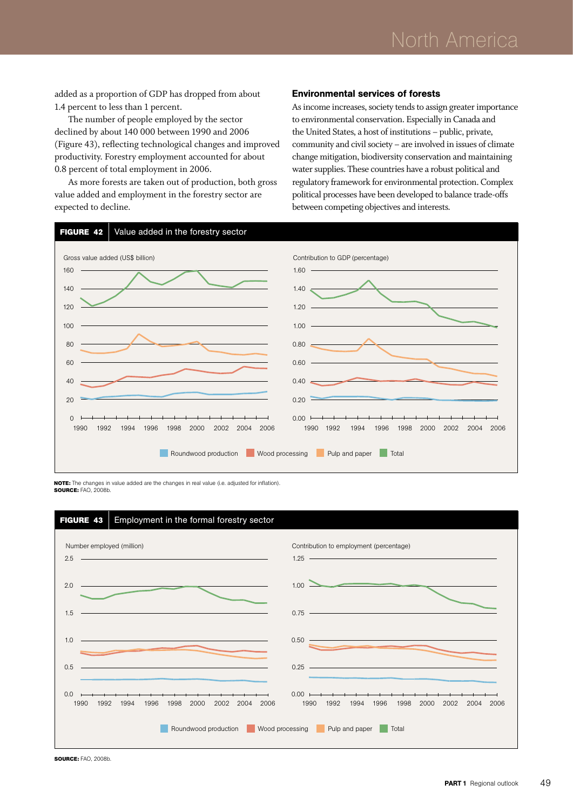added as a proportion of GDP has dropped from about 1.4 percent to less than 1 percent.

The number of people employed by the sector declined by about 140 000 between 1990 and 2006 (Figure 43), reflecting technological changes and improved productivity. Forestry employment accounted for about 0.8 percent of total employment in 2006.

As more forests are taken out of production, both gross value added and employment in the forestry sector are expected to decline.

#### Environmental services of forests

As income increases, society tends to assign greater importance to environmental conservation. Especially in Canada and the United States, a host of institutions – public, private, community and civil society – are involved in issues of climate change mitigation, biodiversity conservation and maintaining water supplies. These countries have a robust political and regulatory framework for environmental protection. Complex political processes have been developed to balance trade-offs between competing objectives and interests.



**Note:** The changes in value added are the changes in real value (i.e. adjusted for inflation). **Source:** FAO, 2008b.



**Source:** FAO, 2008b.